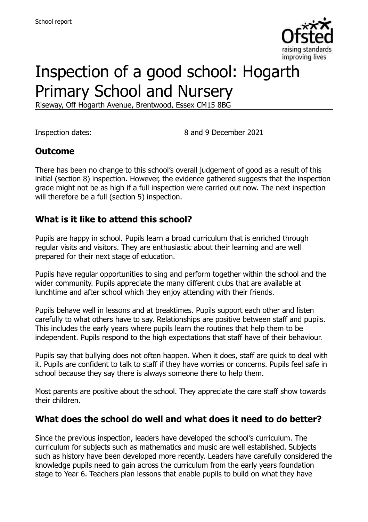

# Inspection of a good school: Hogarth Primary School and Nursery

Riseway, Off Hogarth Avenue, Brentwood, Essex CM15 8BG

Inspection dates: 8 and 9 December 2021

#### **Outcome**

There has been no change to this school's overall judgement of good as a result of this initial (section 8) inspection. However, the evidence gathered suggests that the inspection grade might not be as high if a full inspection were carried out now. The next inspection will therefore be a full (section 5) inspection.

#### **What is it like to attend this school?**

Pupils are happy in school. Pupils learn a broad curriculum that is enriched through regular visits and visitors. They are enthusiastic about their learning and are well prepared for their next stage of education.

Pupils have regular opportunities to sing and perform together within the school and the wider community. Pupils appreciate the many different clubs that are available at lunchtime and after school which they enjoy attending with their friends.

Pupils behave well in lessons and at breaktimes. Pupils support each other and listen carefully to what others have to say. Relationships are positive between staff and pupils. This includes the early years where pupils learn the routines that help them to be independent. Pupils respond to the high expectations that staff have of their behaviour.

Pupils say that bullying does not often happen. When it does, staff are quick to deal with it. Pupils are confident to talk to staff if they have worries or concerns. Pupils feel safe in school because they say there is always someone there to help them.

Most parents are positive about the school. They appreciate the care staff show towards their children.

#### **What does the school do well and what does it need to do better?**

Since the previous inspection, leaders have developed the school's curriculum. The curriculum for subjects such as mathematics and music are well established. Subjects such as history have been developed more recently. Leaders have carefully considered the knowledge pupils need to gain across the curriculum from the early years foundation stage to Year 6. Teachers plan lessons that enable pupils to build on what they have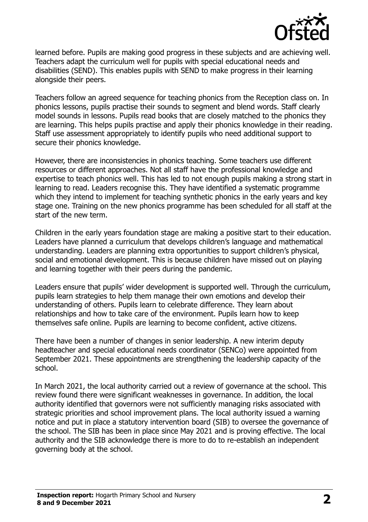

learned before. Pupils are making good progress in these subjects and are achieving well. Teachers adapt the curriculum well for pupils with special educational needs and disabilities (SEND). This enables pupils with SEND to make progress in their learning alongside their peers.

Teachers follow an agreed sequence for teaching phonics from the Reception class on. In phonics lessons, pupils practise their sounds to segment and blend words. Staff clearly model sounds in lessons. Pupils read books that are closely matched to the phonics they are learning. This helps pupils practise and apply their phonics knowledge in their reading. Staff use assessment appropriately to identify pupils who need additional support to secure their phonics knowledge.

However, there are inconsistencies in phonics teaching. Some teachers use different resources or different approaches. Not all staff have the professional knowledge and expertise to teach phonics well. This has led to not enough pupils making a strong start in learning to read. Leaders recognise this. They have identified a systematic programme which they intend to implement for teaching synthetic phonics in the early years and key stage one. Training on the new phonics programme has been scheduled for all staff at the start of the new term.

Children in the early years foundation stage are making a positive start to their education. Leaders have planned a curriculum that develops children's language and mathematical understanding. Leaders are planning extra opportunities to support children's physical, social and emotional development. This is because children have missed out on playing and learning together with their peers during the pandemic.

Leaders ensure that pupils' wider development is supported well. Through the curriculum, pupils learn strategies to help them manage their own emotions and develop their understanding of others. Pupils learn to celebrate difference. They learn about relationships and how to take care of the environment. Pupils learn how to keep themselves safe online. Pupils are learning to become confident, active citizens.

There have been a number of changes in senior leadership. A new interim deputy headteacher and special educational needs coordinator (SENCo) were appointed from September 2021. These appointments are strengthening the leadership capacity of the school.

In March 2021, the local authority carried out a review of governance at the school. This review found there were significant weaknesses in governance. In addition, the local authority identified that governors were not sufficiently managing risks associated with strategic priorities and school improvement plans. The local authority issued a warning notice and put in place a statutory intervention board (SIB) to oversee the governance of the school. The SIB has been in place since May 2021 and is proving effective. The local authority and the SIB acknowledge there is more to do to re-establish an independent governing body at the school.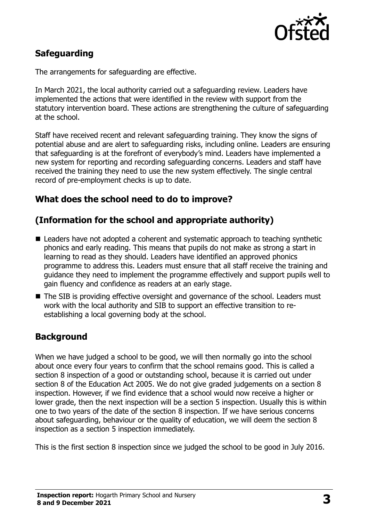

# **Safeguarding**

The arrangements for safeguarding are effective.

In March 2021, the local authority carried out a safeguarding review. Leaders have implemented the actions that were identified in the review with support from the statutory intervention board. These actions are strengthening the culture of safeguarding at the school.

Staff have received recent and relevant safeguarding training. They know the signs of potential abuse and are alert to safeguarding risks, including online. Leaders are ensuring that safeguarding is at the forefront of everybody's mind. Leaders have implemented a new system for reporting and recording safeguarding concerns. Leaders and staff have received the training they need to use the new system effectively. The single central record of pre-employment checks is up to date.

# **What does the school need to do to improve?**

### **(Information for the school and appropriate authority)**

- Leaders have not adopted a coherent and systematic approach to teaching synthetic phonics and early reading. This means that pupils do not make as strong a start in learning to read as they should. Leaders have identified an approved phonics programme to address this. Leaders must ensure that all staff receive the training and guidance they need to implement the programme effectively and support pupils well to gain fluency and confidence as readers at an early stage.
- The SIB is providing effective oversight and governance of the school. Leaders must work with the local authority and SIB to support an effective transition to reestablishing a local governing body at the school.

# **Background**

When we have judged a school to be good, we will then normally go into the school about once every four years to confirm that the school remains good. This is called a section 8 inspection of a good or outstanding school, because it is carried out under section 8 of the Education Act 2005. We do not give graded judgements on a section 8 inspection. However, if we find evidence that a school would now receive a higher or lower grade, then the next inspection will be a section 5 inspection. Usually this is within one to two years of the date of the section 8 inspection. If we have serious concerns about safeguarding, behaviour or the quality of education, we will deem the section 8 inspection as a section 5 inspection immediately.

This is the first section 8 inspection since we judged the school to be good in July 2016.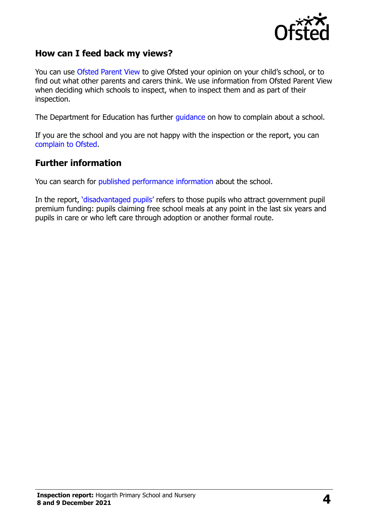

#### **How can I feed back my views?**

You can use [Ofsted Parent View](https://parentview.ofsted.gov.uk/) to give Ofsted your opinion on your child's school, or to find out what other parents and carers think. We use information from Ofsted Parent View when deciding which schools to inspect, when to inspect them and as part of their inspection.

The Department for Education has further [guidance](http://www.gov.uk/complain-about-school) on how to complain about a school.

If you are the school and you are not happy with the inspection or the report, you can [complain to Ofsted.](https://www.gov.uk/complain-ofsted-report)

#### **Further information**

You can search for [published performance information](http://www.compare-school-performance.service.gov.uk/) about the school.

In the report, '[disadvantaged pupils](http://www.gov.uk/guidance/pupil-premium-information-for-schools-and-alternative-provision-settings)' refers to those pupils who attract government pupil premium funding: pupils claiming free school meals at any point in the last six years and pupils in care or who left care through adoption or another formal route.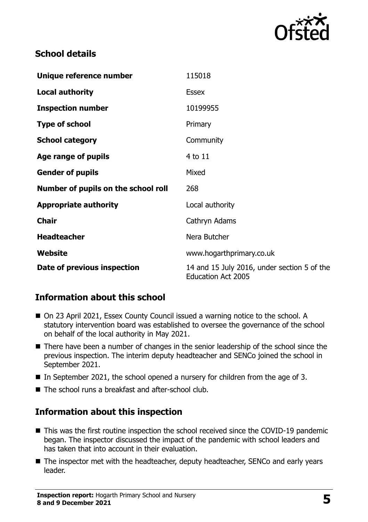

### **School details**

| Unique reference number             | 115018                                                                   |
|-------------------------------------|--------------------------------------------------------------------------|
| <b>Local authority</b>              | <b>Essex</b>                                                             |
| <b>Inspection number</b>            | 10199955                                                                 |
| <b>Type of school</b>               | Primary                                                                  |
| <b>School category</b>              | Community                                                                |
| Age range of pupils                 | 4 to 11                                                                  |
| <b>Gender of pupils</b>             | Mixed                                                                    |
| Number of pupils on the school roll | 268                                                                      |
| <b>Appropriate authority</b>        | Local authority                                                          |
| <b>Chair</b>                        | Cathryn Adams                                                            |
| <b>Headteacher</b>                  | Nera Butcher                                                             |
| Website                             | www.hogarthprimary.co.uk                                                 |
| Date of previous inspection         | 14 and 15 July 2016, under section 5 of the<br><b>Education Act 2005</b> |

# **Information about this school**

- On 23 April 2021, Essex County Council issued a warning notice to the school. A statutory intervention board was established to oversee the governance of the school on behalf of the local authority in May 2021.
- There have been a number of changes in the senior leadership of the school since the previous inspection. The interim deputy headteacher and SENCo joined the school in September 2021.
- In September 2021, the school opened a nursery for children from the age of 3.
- The school runs a breakfast and after-school club.

# **Information about this inspection**

- This was the first routine inspection the school received since the COVID-19 pandemic began. The inspector discussed the impact of the pandemic with school leaders and has taken that into account in their evaluation.
- The inspector met with the headteacher, deputy headteacher, SENCo and early years leader.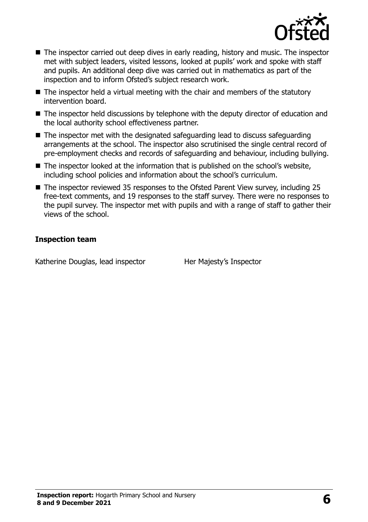

- The inspector carried out deep dives in early reading, history and music. The inspector met with subject leaders, visited lessons, looked at pupils' work and spoke with staff and pupils. An additional deep dive was carried out in mathematics as part of the inspection and to inform Ofsted's subject research work.
- $\blacksquare$  The inspector held a virtual meeting with the chair and members of the statutory intervention board.
- The inspector held discussions by telephone with the deputy director of education and the local authority school effectiveness partner.
- The inspector met with the designated safeguarding lead to discuss safeguarding arrangements at the school. The inspector also scrutinised the single central record of pre-employment checks and records of safeguarding and behaviour, including bullying.
- The inspector looked at the information that is published on the school's website, including school policies and information about the school's curriculum.
- The inspector reviewed 35 responses to the Ofsted Parent View survey, including 25 free-text comments, and 19 responses to the staff survey. There were no responses to the pupil survey. The inspector met with pupils and with a range of staff to gather their views of the school.

#### **Inspection team**

Katherine Douglas, lead inspector Her Majesty's Inspector